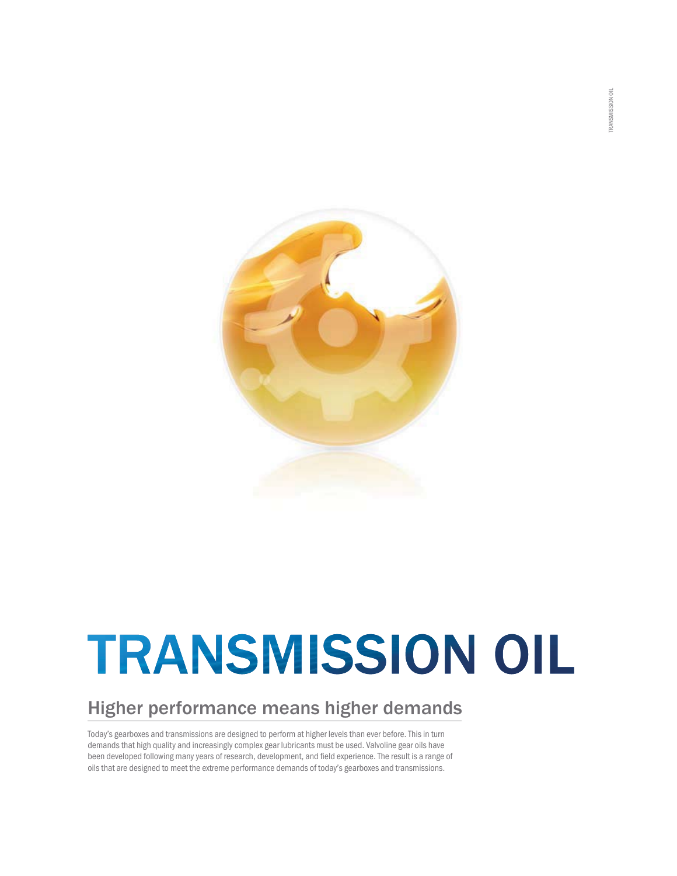

# **TRANSMISSION OIL**

#### Higher performance means higher demands

Today's gearboxes and transmissions are designed to perform at higher levels than ever before. This in turn demands that high quality and increasingly complex gear lubricants must be used. Valvoline gear oils have been developed following many years of research, development, and field experience. The result is a range of oils that are designed to meet the extreme performance demands of today's gearboxes and transmissions.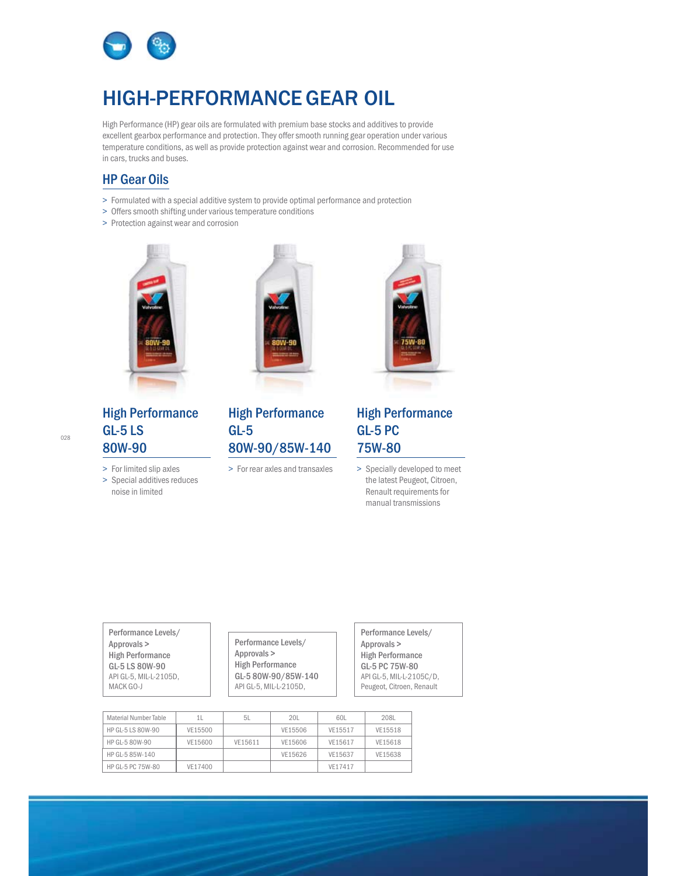

#### HIGH-PERFORMANCEGEAR OIL

High Performance (HP) gear oils are formulated with premium base stocks and additives to provide excellent gearbox performance and protection. They offer smooth running gear operation under various temperature conditions, as well as provide protection against wear and corrosion. Recommended for use in cars, trucks and buses.

- HP Gear Oils > Formulated with a special additive system to provide optimal performance and protection
- > Offers smooth shifting under various temperature conditions
- > Protection against wear and corrosion



#### High Performance<br>GL-5 LS 80W-90

80W-90 > For limited slip axles

> Special additives reduces noise in limited



#### High Performance 80W-90/85W-140

Entertainment of the state of the state of the state of the September 2014. The September 2014 of the September 2014



#### High Performance<br>GL-5 PC 75W-80

75W-80 > Specially developed to meet the latest Peugeot, Citroen, Renault requirements for manual transmissions

Performance Levels/ High Performance GL-5 LS 80W-90 API GL-5, MIL-L-2105D, MACK GO-J

Performance Levels/ **High Performance** GL-5 80W-90/85W-140 GL-5 80W-90/85W-140 API GL-5, MIL-L-2105D, Performance Levels/ High Performance GL-5 PC 75W-80 API GL-5, MIL-L-2105C/D, Peugeot, Citroen, Renault

| Material Number Table | 11.     | 5l      | 20L     | 60L     | 208L    |
|-----------------------|---------|---------|---------|---------|---------|
| HP GL-5 LS 80W-90     | VE15500 |         | VE15506 | VE15517 | VE15518 |
| HP GL-5 80W-90        | VE15600 | VE15611 | VE15606 | VE15617 | VE15618 |
| HP GL-5 85W-140       |         |         | VE15626 | VE15637 | VE15638 |
| HP GL-5 PC 75W-80     | VE17400 |         |         | VF17417 |         |

028